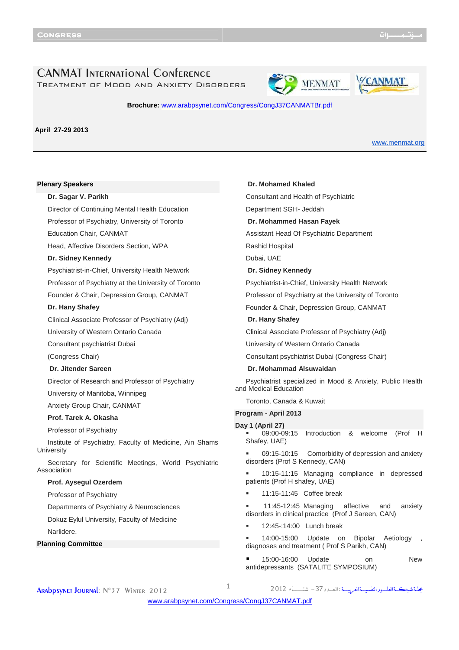**YCANMAT** 

## CANMAT International Conference Treatment of Mood and Anxiety Disorders

# **MENMAT**

Ī



**April 27-29 2013** 

www.menmat.org

#### **Plenary Speakers**

**Dr. Sagar V. Parikh** Director of Continuing Mental Health Education Professor of Psychiatry, University of Toronto Education Chair, CANMAT Head, Affective Disorders Section, WPA **Dr. Sidney Kennedy** Psychiatrist-in-Chief, University Health Network Professor of Psychiatry at the University of Toronto Founder & Chair, Depression Group, CANMAT **Dr. Hany Shafey** Clinical Associate Professor of Psychiatry (Adj) University of Western Ontario Canada Consultant psychiatrist Dubai (Congress Chair) **Dr. Jitender Sareen** Director of Research and Professor of Psychiatry University of Manitoba, Winnipeg Anxiety Group Chair, CANMAT **Prof. Tarek A. Okasha** Professor of Psychiatry Institute of Psychiatry, Faculty of Medicine, Ain Shams **University** Secretary for Scientific Meetings, World Psychiatric Association **Prof. Aysegul Ozerdem** Professor of Psychiatry Departments of Psychiatry & Neurosciences Dokuz Eylul University, Faculty of Medicine Narlidere. **Planning Committee**

**Dr. Mohamed Khaled** Consultant and Health of Psychiatric Department SGH- Jeddah **Dr. Mohammed Hasan Fayek** Assistant Head Of Psychiatric Department Rashid Hospital Dubai, UAE **Dr. Sidney Kennedy** Psychiatrist-in-Chief, University Health Network Professor of Psychiatry at the University of Toronto Founder & Chair, Depression Group, CANMAT **Dr. Hany Shafey** Clinical Associate Professor of Psychiatry (Adj) University of Western Ontario Canada Consultant psychiatrist Dubai (Congress Chair) **Dr. Mohammad Alsuwaidan** Psychiatrist specialized in Mood & Anxiety, Public Health and Medical Education Toronto, Canada & Kuwait **Program - April 2013 Day 1 (April 27)** 09:00-09:15 Introduction & welcome (Prof Shafey, UAE) 09:15-10:15 Comorbidity of depression and anxiety disorders (Prof S Kennedy, CAN) 10:15-11:15 Managing compliance in depressed patients (Prof H shafey, UAE) 11:15-11:45 Coffee break 11:45-12:45 Managing affective and anxiety disorders in clinical practice (Prof J Sareen, CAN) **12:45-:14:00 Lunch break**  14:00-15:00 Update on Bipolar Aetiology , diagnoses and treatment ( Prof S Parikh, CAN)

 15:00-16:00 Update on New antidepressants (SATALITE SYMPOSIUM)

**ARADDSYNET JOURNAL:**  $N^{\circ}$  37 Winter 2012  $1$ 

مجلة شبكةالعلـوم النفسيــةالعربيـــة : ال